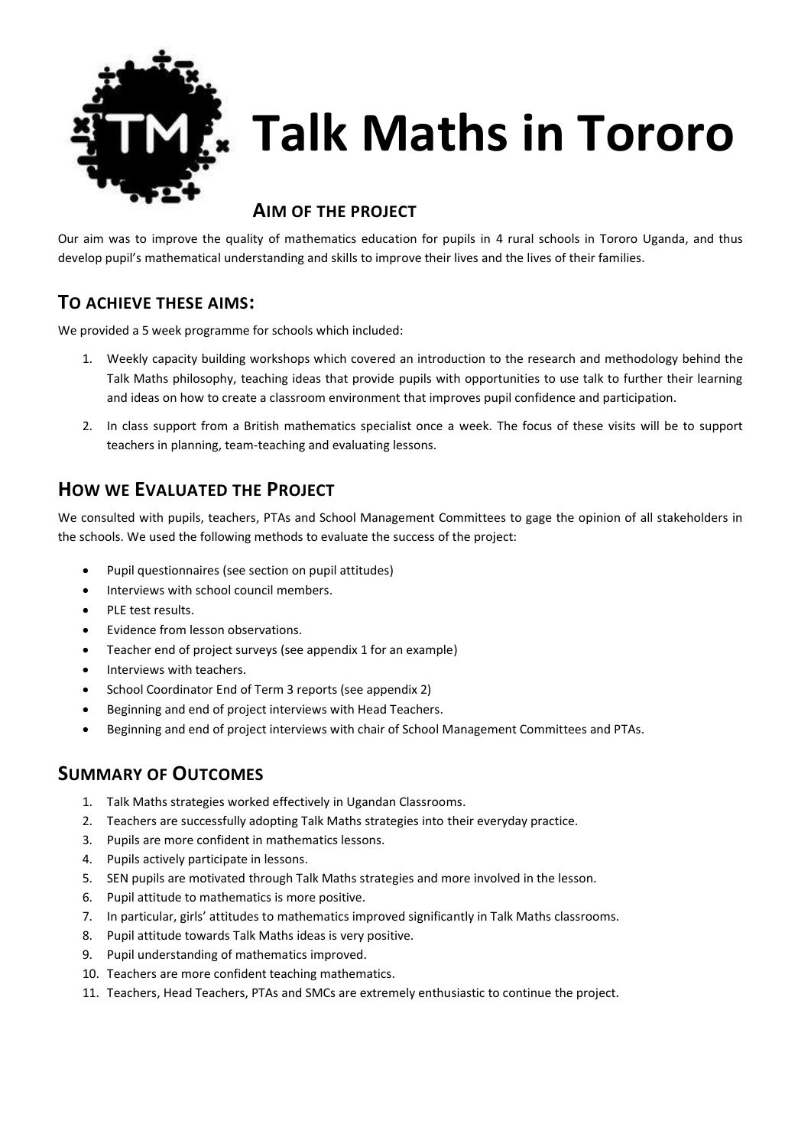

# **Talk Maths in Tororo**

## **AIM OF THE PROJECT**

Our aim was to improve the quality of mathematics education for pupils in 4 rural schools in Tororo Uganda, and thus develop pupil's mathematical understanding and skills to improve their lives and the lives of their families.

### **TO ACHIEVE THESE AIMS:**

We provided a 5 week programme for schools which included:

- 1. Weekly capacity building workshops which covered an introduction to the research and methodology behind the Talk Maths philosophy, teaching ideas that provide pupils with opportunities to use talk to further their learning and ideas on how to create a classroom environment that improves pupil confidence and participation.
- 2. In class support from a British mathematics specialist once a week. The focus of these visits will be to support teachers in planning, team-teaching and evaluating lessons.

## **HOW WE EVALUATED THE PROJECT**

We consulted with pupils, teachers, PTAs and School Management Committees to gage the opinion of all stakeholders in the schools. We used the following methods to evaluate the success of the project:

- Pupil questionnaires (see section on pupil attitudes)
- Interviews with school council members.
- PLE test results.
- Evidence from lesson observations.
- Teacher end of project surveys (see appendix 1 for an example)
- Interviews with teachers.
- School Coordinator End of Term 3 reports (see appendix 2)
- Beginning and end of project interviews with Head Teachers.
- Beginning and end of project interviews with chair of School Management Committees and PTAs.

## **SUMMARY OF OUTCOMES**

- 1. Talk Maths strategies worked effectively in Ugandan Classrooms.
- 2. Teachers are successfully adopting Talk Maths strategies into their everyday practice.
- 3. Pupils are more confident in mathematics lessons.
- 4. Pupils actively participate in lessons.
- 5. SEN pupils are motivated through Talk Maths strategies and more involved in the lesson.
- 6. Pupil attitude to mathematics is more positive.
- 7. In particular, girls' attitudes to mathematics improved significantly in Talk Maths classrooms.
- 8. Pupil attitude towards Talk Maths ideas is very positive.
- 9. Pupil understanding of mathematics improved.
- 10. Teachers are more confident teaching mathematics.
- 11. Teachers, Head Teachers, PTAs and SMCs are extremely enthusiastic to continue the project.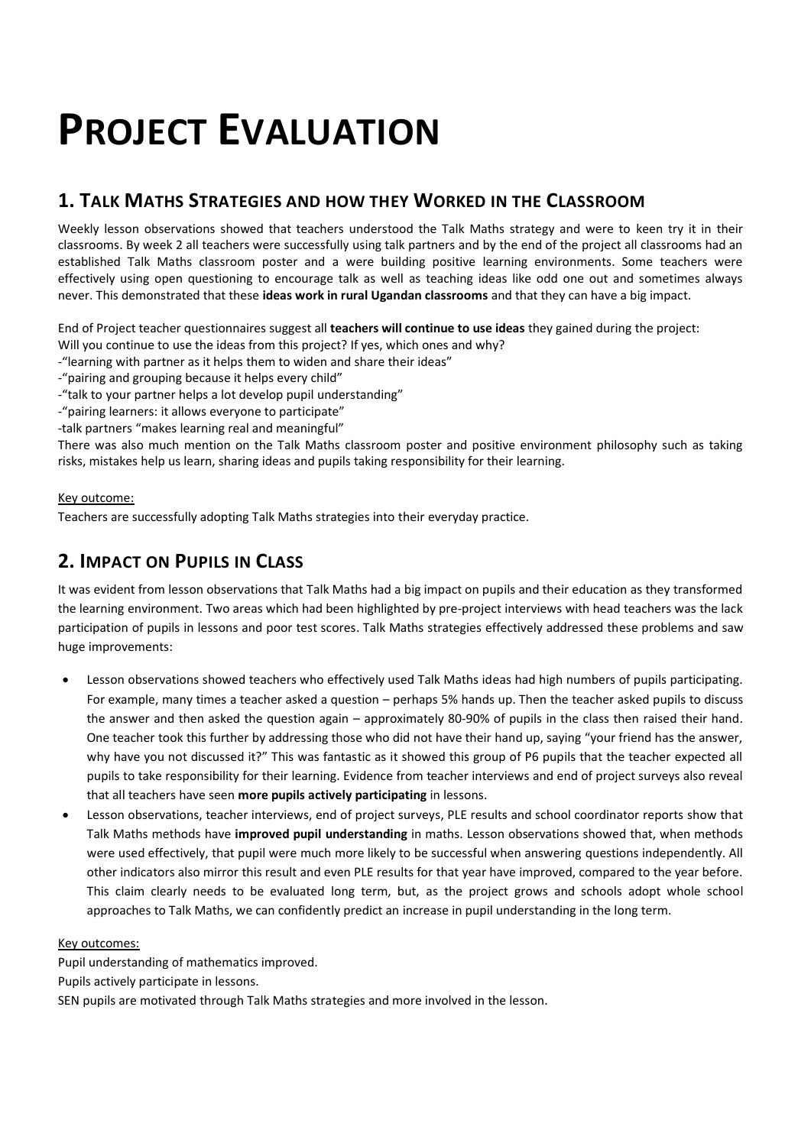## **PROJECT EVALUATION**

## **1. TALK MATHS STRATEGIES AND HOW THEY WORKED IN THE CLASSROOM**

Weekly lesson observations showed that teachers understood the Talk Maths strategy and were to keen try it in their classrooms. By week 2 all teachers were successfully using talk partners and by the end of the project all classrooms had an established Talk Maths classroom poster and a were building positive learning environments. Some teachers were effectively using open questioning to encourage talk as well as teaching ideas like odd one out and sometimes always never. This demonstrated that these **ideas work in rural Ugandan classrooms** and that they can have a big impact.

End of Project teacher questionnaires suggest all **teachers will continue to use ideas** they gained during the project:

- Will you continue to use the ideas from this project? If yes, which ones and why?
- -"learning with partner as it helps them to widen and share their ideas"
- -"pairing and grouping because it helps every child"
- -"talk to your partner helps a lot develop pupil understanding"
- -"pairing learners: it allows everyone to participate"
- -talk partners "makes learning real and meaningful"

There was also much mention on the Talk Maths classroom poster and positive environment philosophy such as taking risks, mistakes help us learn, sharing ideas and pupils taking responsibility for their learning.

#### Key outcome:

Teachers are successfully adopting Talk Maths strategies into their everyday practice.

## **2. IMPACT ON PUPILS IN CLASS**

It was evident from lesson observations that Talk Maths had a big impact on pupils and their education as they transformed the learning environment. Two areas which had been highlighted by pre-project interviews with head teachers was the lack participation of pupils in lessons and poor test scores. Talk Maths strategies effectively addressed these problems and saw huge improvements:

- Lesson observations showed teachers who effectively used Talk Maths ideas had high numbers of pupils participating. For example, many times a teacher asked a question – perhaps 5% hands up. Then the teacher asked pupils to discuss the answer and then asked the question again – approximately 80-90% of pupils in the class then raised their hand. One teacher took this further by addressing those who did not have their hand up, saying "your friend has the answer, why have you not discussed it?" This was fantastic as it showed this group of P6 pupils that the teacher expected all pupils to take responsibility for their learning. Evidence from teacher interviews and end of project surveys also reveal that all teachers have seen **more pupils actively participating** in lessons.
- Lesson observations, teacher interviews, end of project surveys, PLE results and school coordinator reports show that Talk Maths methods have **improved pupil understanding** in maths. Lesson observations showed that, when methods were used effectively, that pupil were much more likely to be successful when answering questions independently. All other indicators also mirror this result and even PLE results for that year have improved, compared to the year before. This claim clearly needs to be evaluated long term, but, as the project grows and schools adopt whole school approaches to Talk Maths, we can confidently predict an increase in pupil understanding in the long term.

#### Key outcomes:

Pupil understanding of mathematics improved.

Pupils actively participate in lessons.

SEN pupils are motivated through Talk Maths strategies and more involved in the lesson.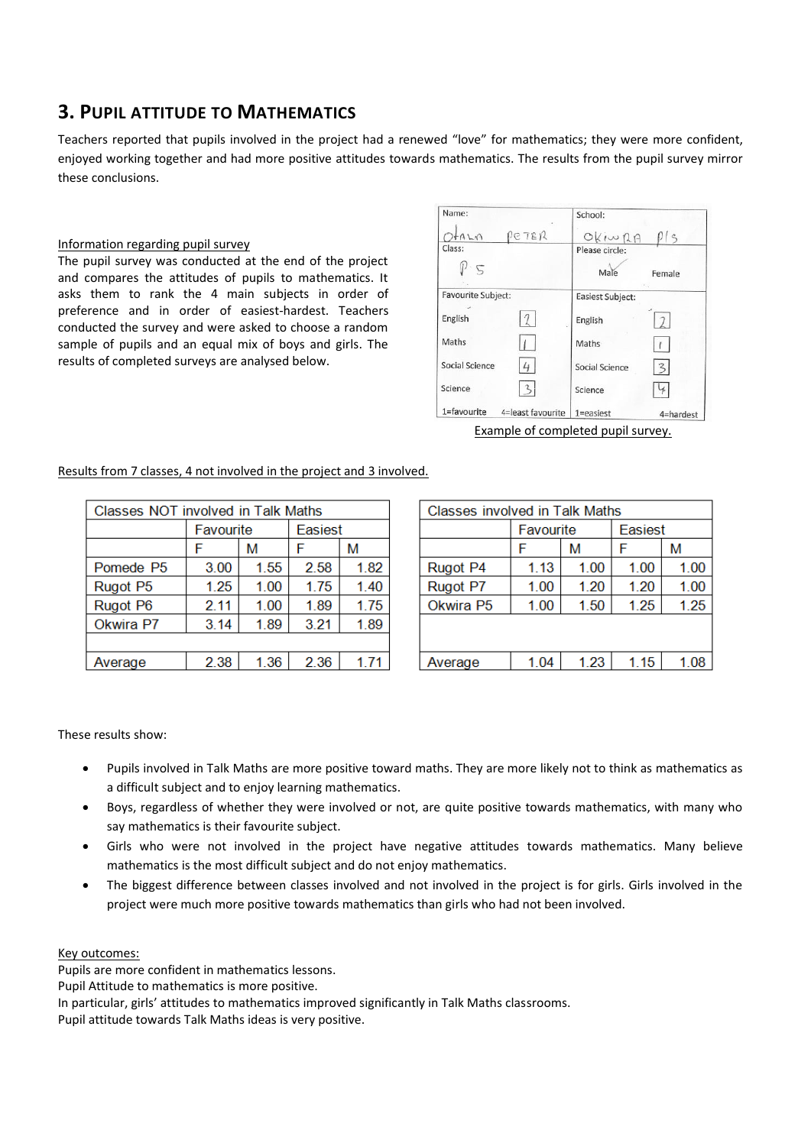## **3. PUPIL ATTITUDE TO MATHEMATICS**

Teachers reported that pupils involved in the project had a renewed "love" for mathematics; they were more confident, enjoyed working together and had more positive attitudes towards mathematics. The results from the pupil survey mirror these conclusions.

#### Information regarding pupil survey

The pupil survey was conducted at the end of the project and compares the attitudes of pupils to mathematics. It asks them to rank the 4 main subjects in order of preference and in order of easiest-hardest. Teachers conducted the survey and were asked to choose a random sample of pupils and an equal mix of boys and girls. The results of completed surveys are analysed below.

| Name:                     |                   | School:          |               |  |
|---------------------------|-------------------|------------------|---------------|--|
| $+A L N$                  | PETER             | OKIWRA           | $\frac{1}{5}$ |  |
| Class:                    |                   | Please circle:   |               |  |
| 5                         |                   | Male             | Female        |  |
| <b>Favourite Subject:</b> |                   | Easiest Subject: |               |  |
| English                   |                   | English          |               |  |
| Maths                     |                   | Maths            |               |  |
| Social Science            |                   | Social Science   | 3             |  |
| Science                   |                   | Science          |               |  |
| 1=favourite               | 4=least favourite | $1 = e$ asiest   | 4=hardest     |  |

Results from 7 classes, 4 not involved in the project and 3 involved.

| Classes NOT involved in Talk Maths |           |      |         |      |  |  |  |
|------------------------------------|-----------|------|---------|------|--|--|--|
|                                    | Favourite |      | Easiest |      |  |  |  |
|                                    |           | М    | F       | М    |  |  |  |
| Pomede P5                          | 3.00      | 1.55 | 2.58    | 1.82 |  |  |  |
| Rugot P5                           | 1.25      | 1.00 | 1.75    | 1.40 |  |  |  |
| Rugot P6                           | 2.11      | 1.00 | 1.89    | 1.75 |  |  |  |
| Okwira P7                          | 3.14      | 1.89 | 3.21    | 1.89 |  |  |  |
|                                    |           |      |         |      |  |  |  |
| Average                            | 2.38      | 1.36 | 2.36    | 1.71 |  |  |  |
|                                    |           |      |         |      |  |  |  |

| <b>Classes involved in Talk Maths</b> |           |      |         |      |  |  |  |
|---------------------------------------|-----------|------|---------|------|--|--|--|
|                                       | Favourite |      | Easiest |      |  |  |  |
|                                       |           | м    | F       | м    |  |  |  |
| Rugot P4                              | 1.13      | 1.00 | 1.00    | 1.00 |  |  |  |
| Rugot P7                              | 1.00      | 1.20 | 1.20    | 1.00 |  |  |  |
| Okwira P5                             | 1.00      | 1.50 | 1.25    | 1.25 |  |  |  |
|                                       |           |      |         |      |  |  |  |
|                                       |           |      |         |      |  |  |  |
| Average                               | 1.04      | 1.23 | 1.15    | 1.08 |  |  |  |

These results show:

- Pupils involved in Talk Maths are more positive toward maths. They are more likely not to think as mathematics as a difficult subject and to enjoy learning mathematics.
- Boys, regardless of whether they were involved or not, are quite positive towards mathematics, with many who say mathematics is their favourite subject.
- Girls who were not involved in the project have negative attitudes towards mathematics. Many believe mathematics is the most difficult subject and do not enjoy mathematics.
- The biggest difference between classes involved and not involved in the project is for girls. Girls involved in the project were much more positive towards mathematics than girls who had not been involved.

#### Key outcomes:

Pupils are more confident in mathematics lessons.

Pupil Attitude to mathematics is more positive.

Pupil attitude towards Talk Maths ideas is very positive.

In particular, girls' attitudes to mathematics improved significantly in Talk Maths classrooms.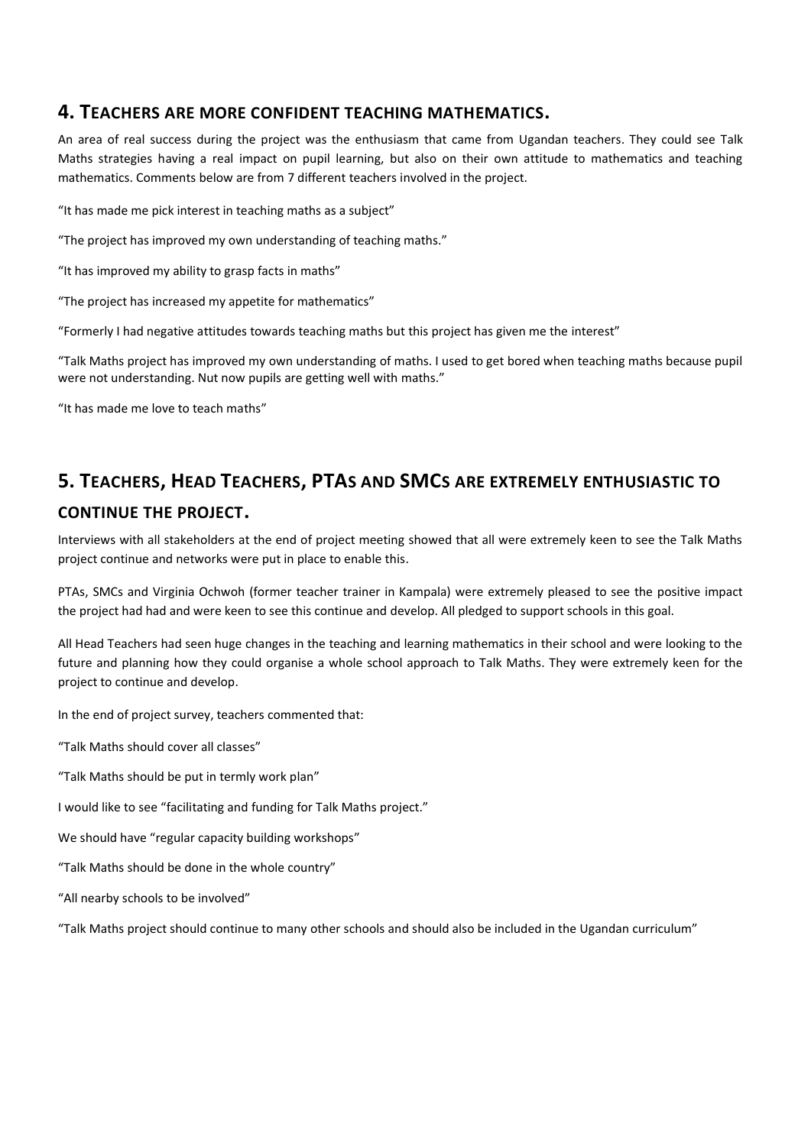#### **4. TEACHERS ARE MORE CONFIDENT TEACHING MATHEMATICS.**

An area of real success during the project was the enthusiasm that came from Ugandan teachers. They could see Talk Maths strategies having a real impact on pupil learning, but also on their own attitude to mathematics and teaching mathematics. Comments below are from 7 different teachers involved in the project.

"It has made me pick interest in teaching maths as a subject"

"The project has improved my own understanding of teaching maths."

"It has improved my ability to grasp facts in maths"

"The project has increased my appetite for mathematics"

"Formerly I had negative attitudes towards teaching maths but this project has given me the interest"

"Talk Maths project has improved my own understanding of maths. I used to get bored when teaching maths because pupil were not understanding. Nut now pupils are getting well with maths."

"It has made me love to teach maths"

## **5. TEACHERS, HEAD TEACHERS, PTAS AND SMCS ARE EXTREMELY ENTHUSIASTIC TO**

#### **CONTINUE THE PROJECT.**

Interviews with all stakeholders at the end of project meeting showed that all were extremely keen to see the Talk Maths project continue and networks were put in place to enable this.

PTAs, SMCs and Virginia Ochwoh (former teacher trainer in Kampala) were extremely pleased to see the positive impact the project had had and were keen to see this continue and develop. All pledged to support schools in this goal.

All Head Teachers had seen huge changes in the teaching and learning mathematics in their school and were looking to the future and planning how they could organise a whole school approach to Talk Maths. They were extremely keen for the project to continue and develop.

In the end of project survey, teachers commented that:

"Talk Maths should cover all classes"

"Talk Maths should be put in termly work plan"

I would like to see "facilitating and funding for Talk Maths project."

We should have "regular capacity building workshops"

"Talk Maths should be done in the whole country"

"All nearby schools to be involved"

"Talk Maths project should continue to many other schools and should also be included in the Ugandan curriculum"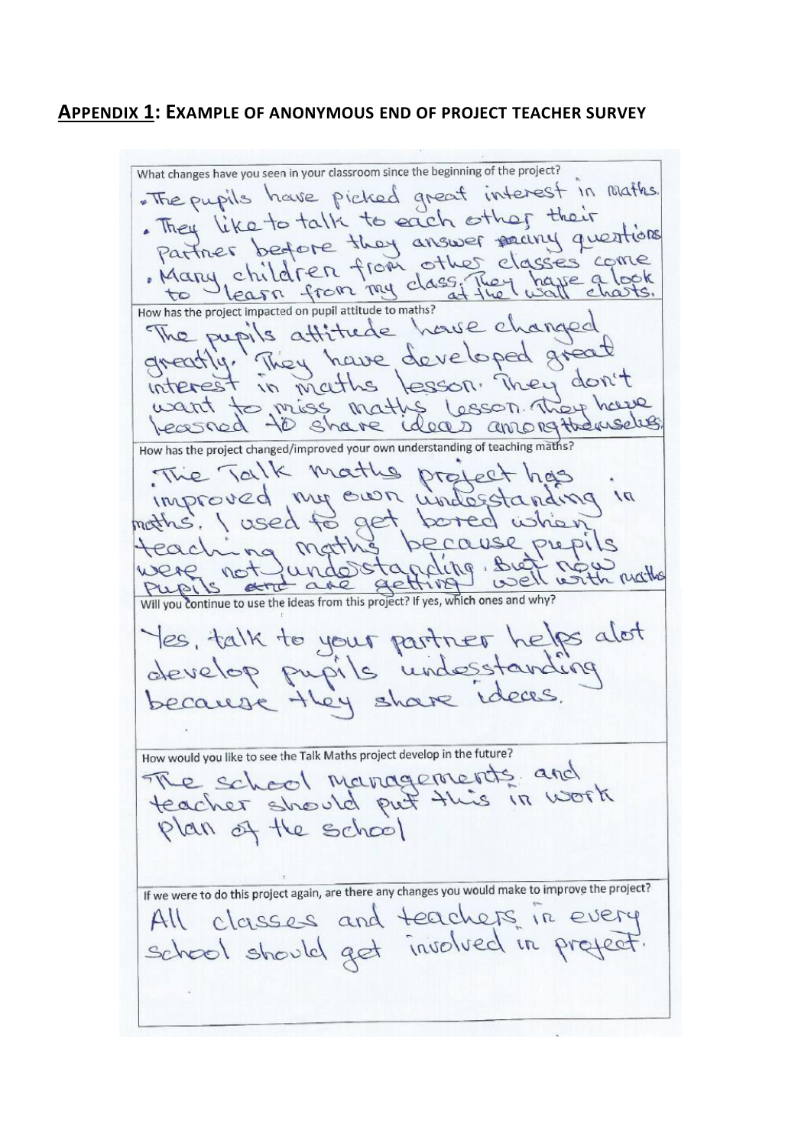#### **APPENDIX 1: EXAMPLE OF ANONYMOUS END OF PROJECT TEACHER SURVEY**

What changes have you seen in your classroom since the beginning of the project? . The pupils have picked great interest in maths. . They like to talk to each other their Fraction before they answer party questions<br>partner before they answer party questions<br>Many children from other classes come<br>to learn from my class flet wall charts. the pupils attitude house changed<br>The pupils attitude house changed<br>greatly. They have developed great want to miss maths lesson they have How has the project changed/improved your own understanding of teaching maths? The Talk maths project has improved my own understanding in because prepils teaching mat were not undertanding bien user nation were not Yes, talk to your partner helps alot<br>develop pupils undesstanding<br>because they share ideas. How would you like to see the Talk Maths project develop in the future? The school managements and teacher should put this in work plan of the school If we were to do this project again, are there any changes you would make to improve the project? All classes and teachers in every school should get involved in preject.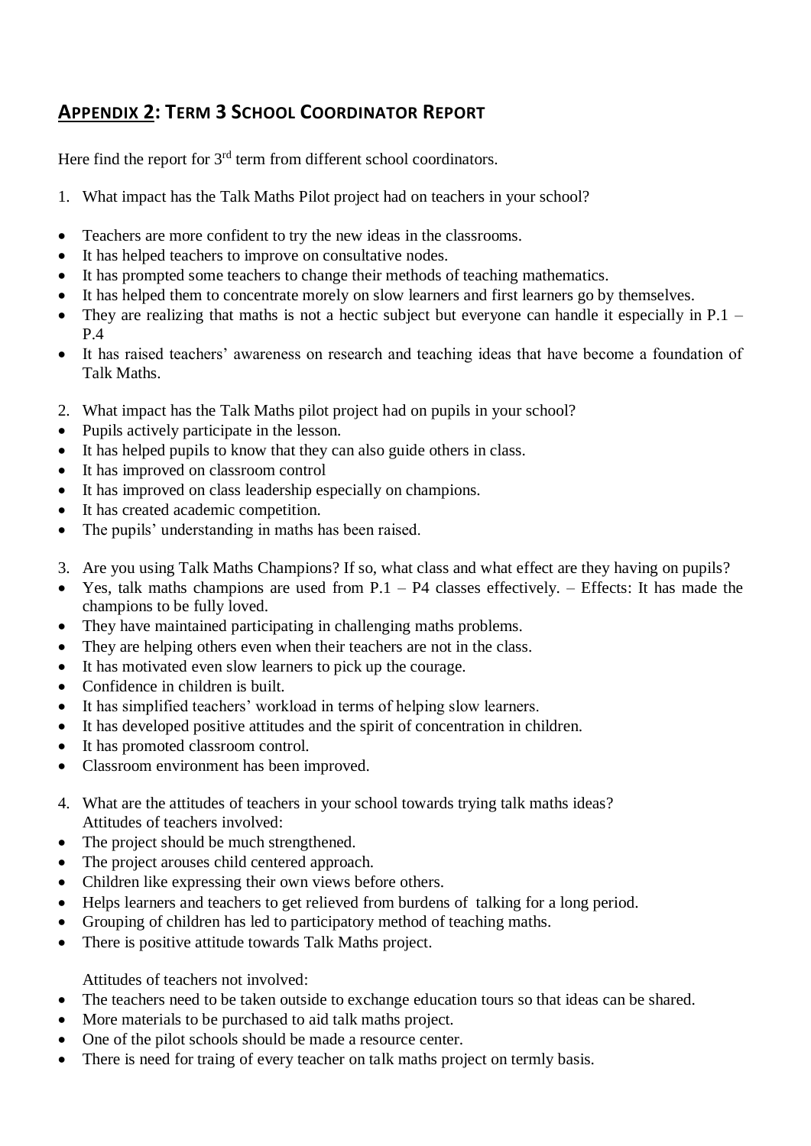## **APPENDIX 2: TERM 3 SCHOOL COORDINATOR REPORT**

Here find the report for  $3<sup>rd</sup>$  term from different school coordinators.

- 1. What impact has the Talk Maths Pilot project had on teachers in your school?
- Teachers are more confident to try the new ideas in the classrooms.
- It has helped teachers to improve on consultative nodes.
- It has prompted some teachers to change their methods of teaching mathematics.
- It has helped them to concentrate morely on slow learners and first learners go by themselves.
- They are realizing that maths is not a hectic subject but everyone can handle it especially in P.1 P.4
- It has raised teachers' awareness on research and teaching ideas that have become a foundation of Talk Maths.
- 2. What impact has the Talk Maths pilot project had on pupils in your school?
- Pupils actively participate in the lesson.
- It has helped pupils to know that they can also guide others in class.
- It has improved on classroom control
- It has improved on class leadership especially on champions.
- It has created academic competition.
- The pupils' understanding in maths has been raised.
- 3. Are you using Talk Maths Champions? If so, what class and what effect are they having on pupils?
- Yes, talk maths champions are used from  $P.1 P4$  classes effectively. Effects: It has made the champions to be fully loved.
- They have maintained participating in challenging maths problems.
- They are helping others even when their teachers are not in the class.
- It has motivated even slow learners to pick up the courage.
- Confidence in children is built.
- It has simplified teachers' workload in terms of helping slow learners.
- It has developed positive attitudes and the spirit of concentration in children.
- It has promoted classroom control.
- Classroom environment has been improved.
- 4. What are the attitudes of teachers in your school towards trying talk maths ideas? Attitudes of teachers involved:
- The project should be much strengthened.
- The project arouses child centered approach.
- Children like expressing their own views before others.
- Helps learners and teachers to get relieved from burdens of talking for a long period.
- Grouping of children has led to participatory method of teaching maths.
- There is positive attitude towards Talk Maths project.

Attitudes of teachers not involved:

- The teachers need to be taken outside to exchange education tours so that ideas can be shared.
- More materials to be purchased to aid talk maths project.
- One of the pilot schools should be made a resource center.
- There is need for traing of every teacher on talk maths project on termly basis.